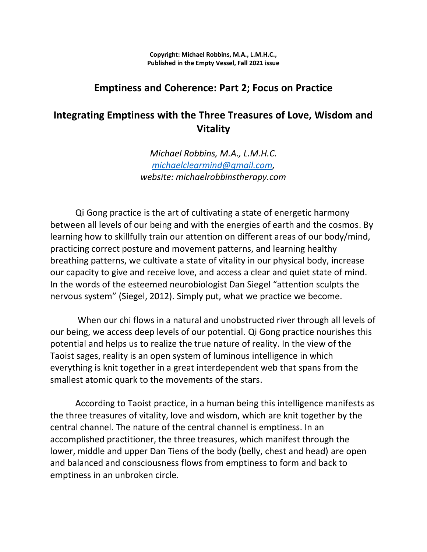**Copyright: Michael Robbins, M.A., L.M.H.C., Published in the Empty Vessel, Fall 2021 issue**

### **Emptiness and Coherence: Part 2; Focus on Practice**

# **Integrating Emptiness with the Three Treasures of Love, Wisdom and Vitality**

*Michael Robbins, M.A., L.M.H.C. [michaelclearmind@gmail.com,](mailto:michaelclearmind@gmail.com) website: michaelrobbinstherapy.com*

Qi Gong practice is the art of cultivating a state of energetic harmony between all levels of our being and with the energies of earth and the cosmos. By learning how to skillfully train our attention on different areas of our body/mind, practicing correct posture and movement patterns, and learning healthy breathing patterns, we cultivate a state of vitality in our physical body, increase our capacity to give and receive love, and access a clear and quiet state of mind. In the words of the esteemed neurobiologist Dan Siegel "attention sculpts the nervous system" (Siegel, 2012). Simply put, what we practice we become.

When our chi flows in a natural and unobstructed river through all levels of our being, we access deep levels of our potential. Qi Gong practice nourishes this potential and helps us to realize the true nature of reality. In the view of the Taoist sages, reality is an open system of luminous intelligence in which everything is knit together in a great interdependent web that spans from the smallest atomic quark to the movements of the stars.

According to Taoist practice, in a human being this intelligence manifests as the three treasures of vitality, love and wisdom, which are knit together by the central channel. The nature of the central channel is emptiness. In an accomplished practitioner, the three treasures, which manifest through the lower, middle and upper Dan Tiens of the body (belly, chest and head) are open and balanced and consciousness flows from emptiness to form and back to emptiness in an unbroken circle.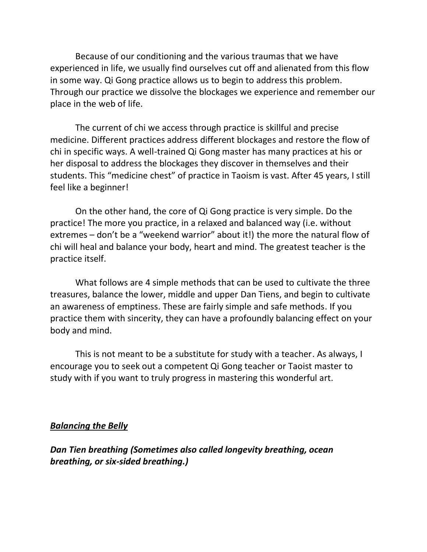Because of our conditioning and the various traumas that we have experienced in life, we usually find ourselves cut off and alienated from this flow in some way. Qi Gong practice allows us to begin to address this problem. Through our practice we dissolve the blockages we experience and remember our place in the web of life.

The current of chi we access through practice is skillful and precise medicine. Different practices address different blockages and restore the flow of chi in specific ways. A well-trained Qi Gong master has many practices at his or her disposal to address the blockages they discover in themselves and their students. This "medicine chest" of practice in Taoism is vast. After 45 years, I still feel like a beginner!

On the other hand, the core of Qi Gong practice is very simple. Do the practice! The more you practice, in a relaxed and balanced way (i.e. without extremes – don't be a "weekend warrior" about it!) the more the natural flow of chi will heal and balance your body, heart and mind. The greatest teacher is the practice itself.

What follows are 4 simple methods that can be used to cultivate the three treasures, balance the lower, middle and upper Dan Tiens, and begin to cultivate an awareness of emptiness. These are fairly simple and safe methods. If you practice them with sincerity, they can have a profoundly balancing effect on your body and mind.

This is not meant to be a substitute for study with a teacher. As always, I encourage you to seek out a competent Qi Gong teacher or Taoist master to study with if you want to truly progress in mastering this wonderful art.

#### *Balancing the Belly*

*Dan Tien breathing (Sometimes also called longevity breathing, ocean breathing, or six-sided breathing.)*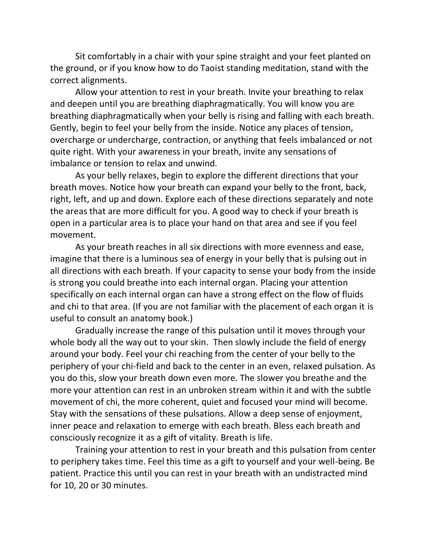Sit comfortably in a chair with your spine straight and your feet planted on the ground, or if you know how to do Taoist standing meditation, stand with the correct alignments.

Allow your attention to rest in your breath. Invite your breathing to relax and deepen until you are breathing diaphragmatically. You will know you are breathing diaphragmatically when your belly is rising and falling with each breath. Gently, begin to feel your belly from the inside. Notice any places of tension, overcharge or undercharge, contraction, or anything that feels imbalanced or not quite right. With your awareness in your breath, invite any sensations of imbalance or tension to relax and unwind.

As your belly relaxes, begin to explore the different directions that your breath moves. Notice how your breath can expand your belly to the front, back, right, left, and up and down. Explore each of these directions separately and note the areas that are more difficult for you. A good way to check if your breath is open in a particular area is to place your hand on that area and see if you feel movement.

As your breath reaches in all six directions with more evenness and ease, imagine that there is a luminous sea of energy in your belly that is pulsing out in all directions with each breath. If your capacity to sense your body from the inside is strong you could breathe into each internal organ. Placing your attention specifically on each internal organ can have a strong effect on the flow of fluids and chi to that area. (If you are not familiar with the placement of each organ it is useful to consult an anatomy book.)

Gradually increase the range of this pulsation until it moves through your whole body all the way out to your skin. Then slowly include the field of energy around your body. Feel your chi reaching from the center of your belly to the periphery of your chi-field and back to the center in an even, relaxed pulsation. As you do this, slow your breath down even more. The slower you breathe and the more your attention can rest in an unbroken stream within it and with the subtle movement of chi, the more coherent, quiet and focused your mind will become. Stay with the sensations of these pulsations. Allow a deep sense of enjoyment, inner peace and relaxation to emerge with each breath. Bless each breath and consciously recognize it as a gift of vitality. Breath is life.

Training your attention to rest in your breath and this pulsation from center to periphery takes time. Feel this time as a gift to yourself and your well-being. Be patient. Practice this until you can rest in your breath with an undistracted mind for 10, 20 or 30 minutes.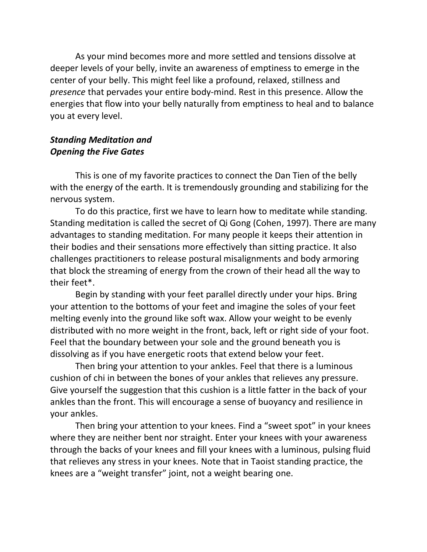As your mind becomes more and more settled and tensions dissolve at deeper levels of your belly, invite an awareness of emptiness to emerge in the center of your belly. This might feel like a profound, relaxed, stillness and *presence* that pervades your entire body-mind. Rest in this presence. Allow the energies that flow into your belly naturally from emptiness to heal and to balance you at every level.

### *Standing Meditation and Opening the Five Gates*

This is one of my favorite practices to connect the Dan Tien of the belly with the energy of the earth. It is tremendously grounding and stabilizing for the nervous system.

To do this practice, first we have to learn how to meditate while standing. Standing meditation is called the secret of Qi Gong (Cohen, 1997). There are many advantages to standing meditation. For many people it keeps their attention in their bodies and their sensations more effectively than sitting practice. It also challenges practitioners to release postural misalignments and body armoring that block the streaming of energy from the crown of their head all the way to their feet\*.

Begin by standing with your feet parallel directly under your hips. Bring your attention to the bottoms of your feet and imagine the soles of your feet melting evenly into the ground like soft wax. Allow your weight to be evenly distributed with no more weight in the front, back, left or right side of your foot. Feel that the boundary between your sole and the ground beneath you is dissolving as if you have energetic roots that extend below your feet.

Then bring your attention to your ankles. Feel that there is a luminous cushion of chi in between the bones of your ankles that relieves any pressure. Give yourself the suggestion that this cushion is a little fatter in the back of your ankles than the front. This will encourage a sense of buoyancy and resilience in your ankles.

Then bring your attention to your knees. Find a "sweet spot" in your knees where they are neither bent nor straight. Enter your knees with your awareness through the backs of your knees and fill your knees with a luminous, pulsing fluid that relieves any stress in your knees. Note that in Taoist standing practice, the knees are a "weight transfer" joint, not a weight bearing one.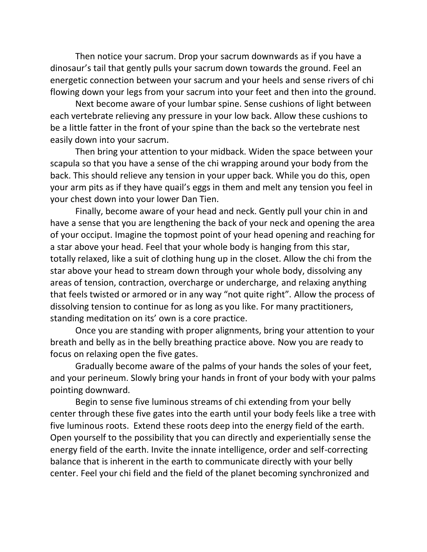Then notice your sacrum. Drop your sacrum downwards as if you have a dinosaur's tail that gently pulls your sacrum down towards the ground. Feel an energetic connection between your sacrum and your heels and sense rivers of chi flowing down your legs from your sacrum into your feet and then into the ground.

Next become aware of your lumbar spine. Sense cushions of light between each vertebrate relieving any pressure in your low back. Allow these cushions to be a little fatter in the front of your spine than the back so the vertebrate nest easily down into your sacrum.

Then bring your attention to your midback. Widen the space between your scapula so that you have a sense of the chi wrapping around your body from the back. This should relieve any tension in your upper back. While you do this, open your arm pits as if they have quail's eggs in them and melt any tension you feel in your chest down into your lower Dan Tien.

Finally, become aware of your head and neck. Gently pull your chin in and have a sense that you are lengthening the back of your neck and opening the area of your occiput. Imagine the topmost point of your head opening and reaching for a star above your head. Feel that your whole body is hanging from this star, totally relaxed, like a suit of clothing hung up in the closet. Allow the chi from the star above your head to stream down through your whole body, dissolving any areas of tension, contraction, overcharge or undercharge, and relaxing anything that feels twisted or armored or in any way "not quite right". Allow the process of dissolving tension to continue for as long as you like. For many practitioners, standing meditation on its' own is a core practice.

Once you are standing with proper alignments, bring your attention to your breath and belly as in the belly breathing practice above. Now you are ready to focus on relaxing open the five gates.

Gradually become aware of the palms of your hands the soles of your feet, and your perineum. Slowly bring your hands in front of your body with your palms pointing downward.

Begin to sense five luminous streams of chi extending from your belly center through these five gates into the earth until your body feels like a tree with five luminous roots. Extend these roots deep into the energy field of the earth. Open yourself to the possibility that you can directly and experientially sense the energy field of the earth. Invite the innate intelligence, order and self-correcting balance that is inherent in the earth to communicate directly with your belly center. Feel your chi field and the field of the planet becoming synchronized and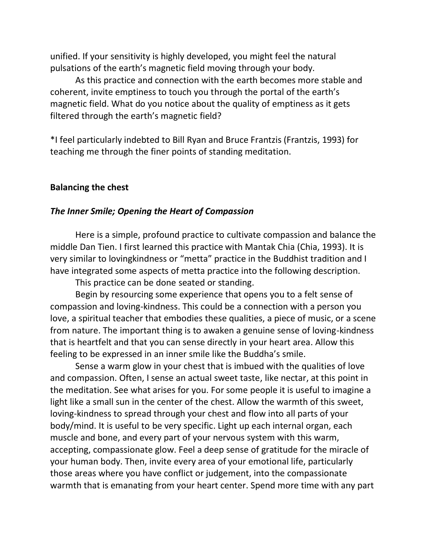unified. If your sensitivity is highly developed, you might feel the natural pulsations of the earth's magnetic field moving through your body.

As this practice and connection with the earth becomes more stable and coherent, invite emptiness to touch you through the portal of the earth's magnetic field. What do you notice about the quality of emptiness as it gets filtered through the earth's magnetic field?

\*I feel particularly indebted to Bill Ryan and Bruce Frantzis (Frantzis, 1993) for teaching me through the finer points of standing meditation.

#### **Balancing the chest**

#### *The Inner Smile; Opening the Heart of Compassion*

Here is a simple, profound practice to cultivate compassion and balance the middle Dan Tien. I first learned this practice with Mantak Chia (Chia, 1993). It is very similar to lovingkindness or "metta" practice in the Buddhist tradition and I have integrated some aspects of metta practice into the following description.

This practice can be done seated or standing.

Begin by resourcing some experience that opens you to a felt sense of compassion and loving-kindness. This could be a connection with a person you love, a spiritual teacher that embodies these qualities, a piece of music, or a scene from nature. The important thing is to awaken a genuine sense of loving-kindness that is heartfelt and that you can sense directly in your heart area. Allow this feeling to be expressed in an inner smile like the Buddha's smile.

Sense a warm glow in your chest that is imbued with the qualities of love and compassion. Often, I sense an actual sweet taste, like nectar, at this point in the meditation. See what arises for you. For some people it is useful to imagine a light like a small sun in the center of the chest. Allow the warmth of this sweet, loving-kindness to spread through your chest and flow into all parts of your body/mind. It is useful to be very specific. Light up each internal organ, each muscle and bone, and every part of your nervous system with this warm, accepting, compassionate glow. Feel a deep sense of gratitude for the miracle of your human body. Then, invite every area of your emotional life, particularly those areas where you have conflict or judgement, into the compassionate warmth that is emanating from your heart center. Spend more time with any part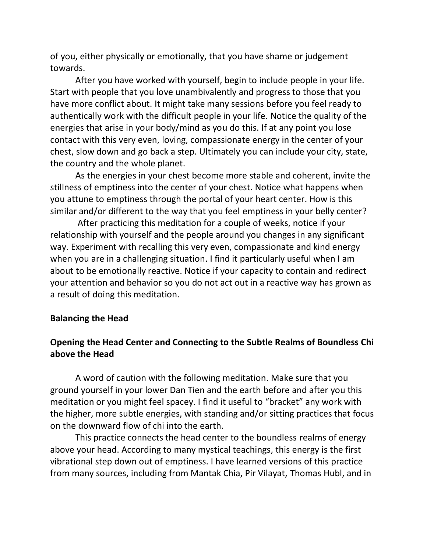of you, either physically or emotionally, that you have shame or judgement towards.

After you have worked with yourself, begin to include people in your life. Start with people that you love unambivalently and progress to those that you have more conflict about. It might take many sessions before you feel ready to authentically work with the difficult people in your life. Notice the quality of the energies that arise in your body/mind as you do this. If at any point you lose contact with this very even, loving, compassionate energy in the center of your chest, slow down and go back a step. Ultimately you can include your city, state, the country and the whole planet.

As the energies in your chest become more stable and coherent, invite the stillness of emptiness into the center of your chest. Notice what happens when you attune to emptiness through the portal of your heart center. How is this similar and/or different to the way that you feel emptiness in your belly center?

After practicing this meditation for a couple of weeks, notice if your relationship with yourself and the people around you changes in any significant way. Experiment with recalling this very even, compassionate and kind energy when you are in a challenging situation. I find it particularly useful when I am about to be emotionally reactive. Notice if your capacity to contain and redirect your attention and behavior so you do not act out in a reactive way has grown as a result of doing this meditation.

#### **Balancing the Head**

## **Opening the Head Center and Connecting to the Subtle Realms of Boundless Chi above the Head**

A word of caution with the following meditation. Make sure that you ground yourself in your lower Dan Tien and the earth before and after you this meditation or you might feel spacey. I find it useful to "bracket" any work with the higher, more subtle energies, with standing and/or sitting practices that focus on the downward flow of chi into the earth.

This practice connects the head center to the boundless realms of energy above your head. According to many mystical teachings, this energy is the first vibrational step down out of emptiness. I have learned versions of this practice from many sources, including from Mantak Chia, Pir Vilayat, Thomas Hubl, and in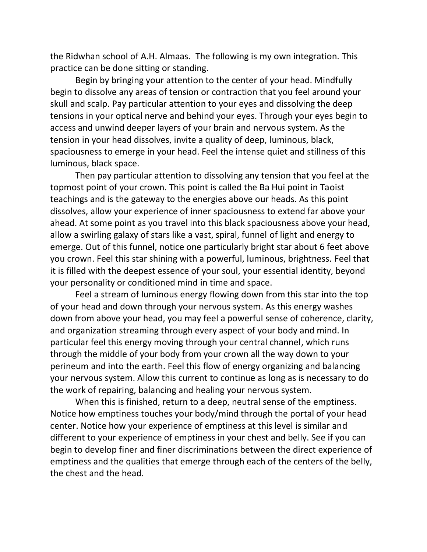the Ridwhan school of A.H. Almaas. The following is my own integration. This practice can be done sitting or standing.

Begin by bringing your attention to the center of your head. Mindfully begin to dissolve any areas of tension or contraction that you feel around your skull and scalp. Pay particular attention to your eyes and dissolving the deep tensions in your optical nerve and behind your eyes. Through your eyes begin to access and unwind deeper layers of your brain and nervous system. As the tension in your head dissolves, invite a quality of deep, luminous, black, spaciousness to emerge in your head. Feel the intense quiet and stillness of this luminous, black space.

Then pay particular attention to dissolving any tension that you feel at the topmost point of your crown. This point is called the Ba Hui point in Taoist teachings and is the gateway to the energies above our heads. As this point dissolves, allow your experience of inner spaciousness to extend far above your ahead. At some point as you travel into this black spaciousness above your head, allow a swirling galaxy of stars like a vast, spiral, funnel of light and energy to emerge. Out of this funnel, notice one particularly bright star about 6 feet above you crown. Feel this star shining with a powerful, luminous, brightness. Feel that it is filled with the deepest essence of your soul, your essential identity, beyond your personality or conditioned mind in time and space.

Feel a stream of luminous energy flowing down from this star into the top of your head and down through your nervous system. As this energy washes down from above your head, you may feel a powerful sense of coherence, clarity, and organization streaming through every aspect of your body and mind. In particular feel this energy moving through your central channel, which runs through the middle of your body from your crown all the way down to your perineum and into the earth. Feel this flow of energy organizing and balancing your nervous system. Allow this current to continue as long as is necessary to do the work of repairing, balancing and healing your nervous system.

When this is finished, return to a deep, neutral sense of the emptiness. Notice how emptiness touches your body/mind through the portal of your head center. Notice how your experience of emptiness at this level is similar and different to your experience of emptiness in your chest and belly. See if you can begin to develop finer and finer discriminations between the direct experience of emptiness and the qualities that emerge through each of the centers of the belly, the chest and the head.